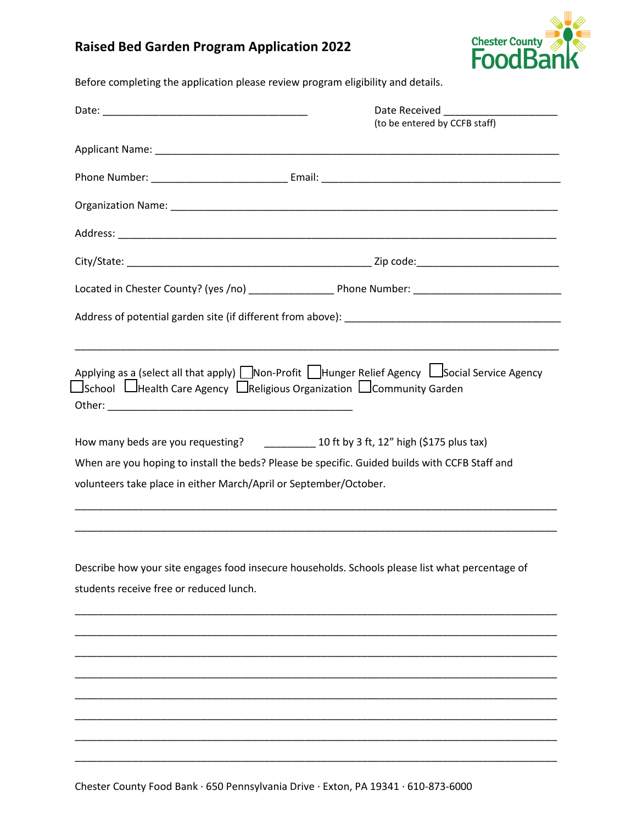## **Raised Bed Garden Program Application 2022**



Before completing the application please review program eligibility and details.

|                                                                                               | Date Received _______________________                                                           |
|-----------------------------------------------------------------------------------------------|-------------------------------------------------------------------------------------------------|
|                                                                                               | (to be entered by CCFB staff)                                                                   |
|                                                                                               |                                                                                                 |
|                                                                                               |                                                                                                 |
|                                                                                               |                                                                                                 |
|                                                                                               |                                                                                                 |
|                                                                                               |                                                                                                 |
|                                                                                               |                                                                                                 |
|                                                                                               |                                                                                                 |
|                                                                                               | <u> 1989 - Johann Stoff, amerikansk politiker (d. 1989)</u>                                     |
| $\Box$ School $\Box$ Health Care Agency $\Box$ Religious Organization $\Box$ Community Garden | Applying as a (select all that apply) Non-Profit Hunger Relief Agency LSocial Service Agency    |
| How many beds are you requesting? _______________ 10 ft by 3 ft, 12" high (\$175 plus tax)    |                                                                                                 |
|                                                                                               | When are you hoping to install the beds? Please be specific. Guided builds with CCFB Staff and  |
| volunteers take place in either March/April or September/October.                             |                                                                                                 |
|                                                                                               |                                                                                                 |
|                                                                                               |                                                                                                 |
|                                                                                               | Describe how your site engages food insecure households. Schools please list what percentage of |
| students receive free or reduced lunch.                                                       |                                                                                                 |
|                                                                                               |                                                                                                 |
|                                                                                               |                                                                                                 |
|                                                                                               |                                                                                                 |
|                                                                                               |                                                                                                 |
|                                                                                               |                                                                                                 |
|                                                                                               |                                                                                                 |
|                                                                                               |                                                                                                 |
|                                                                                               |                                                                                                 |